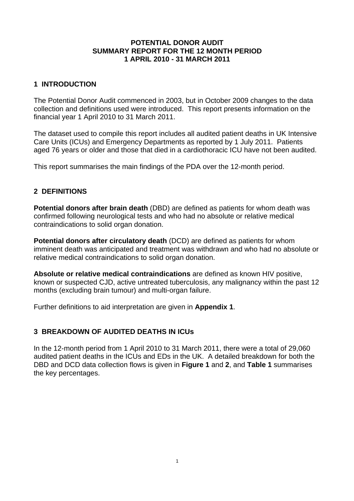#### **POTENTIAL DONOR AUDIT SUMMARY REPORT FOR THE 12 MONTH PERIOD 1 APRIL 2010 - 31 MARCH 2011**

#### **1 INTRODUCTION**

The Potential Donor Audit commenced in 2003, but in October 2009 changes to the data collection and definitions used were introduced. This report presents information on the financial year 1 April 2010 to 31 March 2011.

The dataset used to compile this report includes all audited patient deaths in UK Intensive Care Units (ICUs) and Emergency Departments as reported by 1 July 2011. Patients aged 76 years or older and those that died in a cardiothoracic ICU have not been audited.

This report summarises the main findings of the PDA over the 12-month period.

## **2 DEFINITIONS**

**Potential donors after brain death** (DBD) are defined as patients for whom death was confirmed following neurological tests and who had no absolute or relative medical contraindications to solid organ donation.

**Potential donors after circulatory death** (DCD) are defined as patients for whom imminent death was anticipated and treatment was withdrawn and who had no absolute or relative medical contraindications to solid organ donation.

**Absolute or relative medical contraindications** are defined as known HIV positive, known or suspected CJD, active untreated tuberculosis, any malignancy within the past 12 months (excluding brain tumour) and multi-organ failure.

Further definitions to aid interpretation are given in **Appendix 1**.

#### **3 BREAKDOWN OF AUDITED DEATHS IN ICUs**

In the 12-month period from 1 April 2010 to 31 March 2011, there were a total of 29,060 audited patient deaths in the ICUs and EDs in the UK. A detailed breakdown for both the DBD and DCD data collection flows is given in **Figure 1** and **2**, and **Table 1** summarises the key percentages.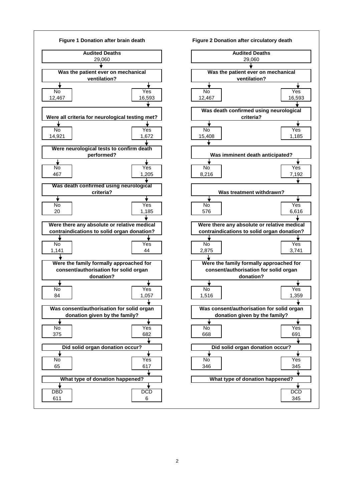



2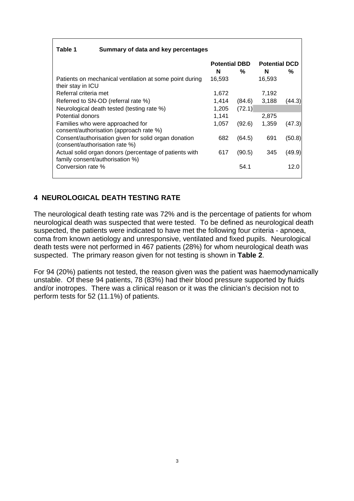#### **Table 1 Summary of data and key percentages**

|                                                                                           | <b>Potential DBD</b> |        | <b>Potential DCD</b> |        |
|-------------------------------------------------------------------------------------------|----------------------|--------|----------------------|--------|
|                                                                                           | N                    | %      | N                    | ℅      |
| Patients on mechanical ventilation at some point during<br>their stay in ICU              | 16,593               |        | 16,593               |        |
| Referral criteria met                                                                     | 1,672                |        | 7,192                |        |
| Referred to SN-OD (referral rate %)                                                       | 1,414                | (84.6) | 3,188                | (44.3) |
| Neurological death tested (testing rate %)                                                | 1,205                | (72.1) |                      |        |
| Potential donors                                                                          | 1,141                |        | 2,875                |        |
| Families who were approached for<br>consent/authorisation (approach rate %)               | 1,057                | (92.6) | 1,359                | (47.3) |
| Consent/authorisation given for solid organ donation<br>(consent/authorisation rate %)    | 682                  | (64.5) | 691                  | (50.8) |
| Actual solid organ donors (percentage of patients with<br>family consent/authorisation %) | 617                  | (90.5) | 345                  | (49.9) |
| Conversion rate %                                                                         |                      | 54.1   |                      | 12.0   |

#### **4 NEUROLOGICAL DEATH TESTING RATE**

The neurological death testing rate was 72% and is the percentage of patients for whom neurological death was suspected that were tested. To be defined as neurological death suspected, the patients were indicated to have met the following four criteria - apnoea, coma from known aetiology and unresponsive, ventilated and fixed pupils. Neurological death tests were not performed in 467 patients (28%) for whom neurological death was suspected. The primary reason given for not testing is shown in **Table 2**.

For 94 (20%) patients not tested, the reason given was the patient was haemodynamically unstable. Of these 94 patients, 78 (83%) had their blood pressure supported by fluids and/or inotropes. There was a clinical reason or it was the clinician's decision not to perform tests for 52 (11.1%) of patients.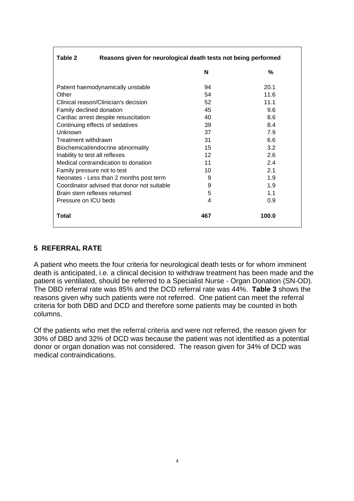| Reasons given for neurological death tests not being performed<br>Table 2 |     |       |  |  |
|---------------------------------------------------------------------------|-----|-------|--|--|
|                                                                           | N   | %     |  |  |
| Patient haemodynamically unstable                                         | 94  | 20.1  |  |  |
| Other                                                                     | 54  | 11.6  |  |  |
| Clinical reason/Clinician's decision                                      | 52  | 11.1  |  |  |
| Family declined donation                                                  | 45  | 9.6   |  |  |
| Cardiac arrest despite resuscitation                                      | 8.6 |       |  |  |
| Continuing effects of sedatives                                           | 39  | 8.4   |  |  |
| Unknown                                                                   | 37  | 7.9   |  |  |
| Treatment withdrawn                                                       | 31  | 6.6   |  |  |
| Biochemical/endocrine abnormality                                         | 15  | 3.2   |  |  |
| Inability to test all reflexes                                            | 12  | 2.6   |  |  |
| Medical contraindication to donation                                      | 11  | 2.4   |  |  |
| Family pressure not to test                                               | 10  | 2.1   |  |  |
| Neonates - Less than 2 months post term                                   | 9   | 1.9   |  |  |
| Coordinator advised that donor not suitable                               | 9   | 1.9   |  |  |
| Brain stem reflexes returned                                              | 5   | 1.1   |  |  |
| Pressure on ICU beds                                                      | 4   | 0.9   |  |  |
| <b>Total</b>                                                              | 467 | 100.0 |  |  |

#### **5 REFERRAL RATE**

Г

A patient who meets the four criteria for neurological death tests or for whom imminent death is anticipated, i.e. a clinical decision to withdraw treatment has been made and the patient is ventilated, should be referred to a Specialist Nurse - Organ Donation (SN-OD). The DBD referral rate was 85% and the DCD referral rate was 44%. **Table 3** shows the reasons given why such patients were not referred. One patient can meet the referral criteria for both DBD and DCD and therefore some patients may be counted in both columns.

Of the patients who met the referral criteria and were not referred, the reason given for 30% of DBD and 32% of DCD was because the patient was not identified as a potential donor or organ donation was not considered. The reason given for 34% of DCD was medical contraindications.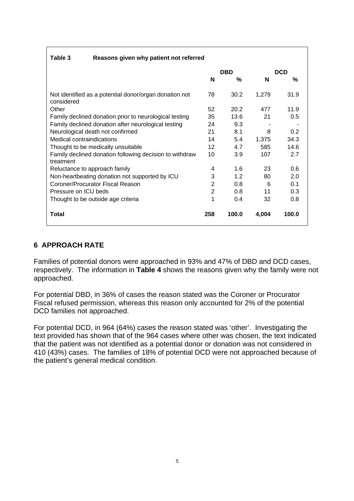| Table 3<br>Reasons given why patient not referred                    |                |       |            |       |
|----------------------------------------------------------------------|----------------|-------|------------|-------|
|                                                                      | <b>DBD</b>     |       | <b>DCD</b> |       |
|                                                                      | N              | %     | N          | ℅     |
| Not identified as a potential donor/organ donation not<br>considered | 78             | 30.2  | 1,279      | 31.9  |
| Other                                                                | 52             | 20.2  | 477        | 11.9  |
| Family declined donation prior to neurological testing               | 35             | 13.6  | 21         | 0.5   |
| Family declined donation after neurological testing                  | 24             | 9.3   |            |       |
| Neurological death not confirmed                                     | 21             | 8.1   | 8          | 0.2   |
| Medical contraindications                                            | 14             | 5.4   | 1,375      | 34.3  |
| Thought to be medically unsuitable                                   | 12             | 4.7   | 585        | 14.6  |
| Family declined donation following decision to withdraw<br>treatment | 10             | 3.9   | 107        | 2.7   |
| Reluctance to approach family                                        | 4              | 1.6   | 23         | 0.6   |
| Non-heartbeating donation not supported by ICU                       | 3              | 1.2   | 80         | 2.0   |
| Coroner/Procurator Fiscal Reason                                     | 2              | 0.8   | 6          | 0.1   |
| Pressure on ICU beds                                                 | $\overline{2}$ | 0.8   | 11         | 0.3   |
| Thought to be outside age criteria                                   | 1              | 0.4   | 32         | 0.8   |
| <b>Total</b>                                                         | 258            | 100.0 | 4,004      | 100.0 |

## **6 APPROACH RATE**

Families of potential donors were approached in 93% and 47% of DBD and DCD cases, respectively. The information in **Table 4** shows the reasons given why the family were not approached.

For potential DBD, in 36% of cases the reason stated was the Coroner or Procurator Fiscal refused permission, whereas this reason only accounted for 2% of the potential DCD families not approached.

For potential DCD, in 964 (64%) cases the reason stated was 'other'. Investigating the text provided has shown that of the 964 cases where other was chosen, the text indicated that the patient was not identified as a potential donor or donation was not considered in 410 (43%) cases. The families of 18% of potential DCD were not approached because of the patient's general medical condition.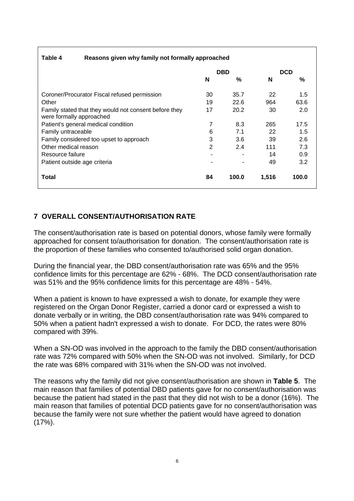| Table 4<br>Reasons given why family not formally approached                       |                |       |       |            |  |
|-----------------------------------------------------------------------------------|----------------|-------|-------|------------|--|
|                                                                                   | <b>DBD</b>     |       |       | <b>DCD</b> |  |
|                                                                                   | N              | %     | N     | %          |  |
| Coroner/Procurator Fiscal refused permission                                      | 30             | 35.7  | 22    | 1.5        |  |
| Other                                                                             | 19             | 22.6  | 964   | 63.6       |  |
| Family stated that they would not consent before they<br>were formally approached | 17             | 20.2  | 30    | 2.0        |  |
| Patient's general medical condition                                               | 7              | 8.3   | 265   | 17.5       |  |
| Family untraceable                                                                | 6              | 7.1   | 22    | 1.5        |  |
| Family considered too upset to approach                                           | 3              | 3.6   | 39    | 2.6        |  |
| Other medical reason                                                              | $\overline{2}$ | 2.4   | 111   | 7.3        |  |
| Resource failure                                                                  |                |       | 14    | 0.9        |  |
| Patient outside age criteria                                                      |                |       | 49    | 3.2        |  |
| Total                                                                             | 84             | 100.0 | 1,516 | 100.0      |  |

# **7 OVERALL CONSENT/AUTHORISATION RATE**

The consent/authorisation rate is based on potential donors, whose family were formally approached for consent to/authorisation for donation. The consent/authorisation rate is the proportion of these families who consented to/authorised solid organ donation.

During the financial year, the DBD consent/authorisation rate was 65% and the 95% confidence limits for this percentage are 62% - 68%. The DCD consent/authorisation rate was 51% and the 95% confidence limits for this percentage are 48% - 54%.

When a patient is known to have expressed a wish to donate, for example they were registered on the Organ Donor Register, carried a donor card or expressed a wish to donate verbally or in writing, the DBD consent/authorisation rate was 94% compared to 50% when a patient hadn't expressed a wish to donate. For DCD, the rates were 80% compared with 39%.

When a SN-OD was involved in the approach to the family the DBD consent/authorisation rate was 72% compared with 50% when the SN-OD was not involved. Similarly, for DCD the rate was 68% compared with 31% when the SN-OD was not involved.

The reasons why the family did not give consent/authorisation are shown in **Table 5**. The main reason that families of potential DBD patients gave for no consent/authorisation was because the patient had stated in the past that they did not wish to be a donor (16%). The main reason that families of potential DCD patients gave for no consent/authorisation was because the family were not sure whether the patient would have agreed to donation  $(17\%)$ .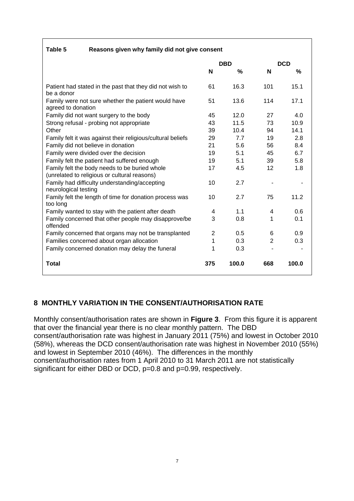| Table 5<br>Reasons given why family did not give consent                                      |                |            |     |            |  |
|-----------------------------------------------------------------------------------------------|----------------|------------|-----|------------|--|
|                                                                                               |                | <b>DBD</b> |     | <b>DCD</b> |  |
|                                                                                               | N              | %          | N   | %          |  |
| Patient had stated in the past that they did not wish to<br>be a donor                        | 61             | 16.3       | 101 | 15.1       |  |
| Family were not sure whether the patient would have<br>agreed to donation                     | 51             | 13.6       | 114 | 17.1       |  |
| Family did not want surgery to the body                                                       | 45             | 12.0       | 27  | 4.0        |  |
| Strong refusal - probing not appropriate                                                      | 43             | 11.5       | 73  | 10.9       |  |
| Other                                                                                         | 39             | 10.4       | 94  | 14.1       |  |
| Family felt it was against their religious/cultural beliefs                                   |                | 7.7        | 19  | 2.8        |  |
| Family did not believe in donation                                                            |                | 5.6        | 56  | 8.4        |  |
| Family were divided over the decision                                                         |                | 5.1        | 45  | 6.7        |  |
| Family felt the patient had suffered enough                                                   |                | 5.1        | 39  | 5.8        |  |
| Family felt the body needs to be buried whole<br>(unrelated to religious or cultural reasons) |                | 4.5        | 12  | 1.8        |  |
| Family had difficulty understanding/accepting<br>neurological testing                         | 10             | 2.7        |     |            |  |
| Family felt the length of time for donation process was<br>too long                           | 10             | 2.7        | 75  | 11.2       |  |
| Family wanted to stay with the patient after death                                            | 4              | 1.1        | 4   | 0.6        |  |
| Family concerned that other people may disapprove/be<br>offended                              | 3              | 0.8        | 1   | 0.1        |  |
| Family concerned that organs may not be transplanted                                          | $\overline{2}$ | 0.5        | 6   | 0.9        |  |
| Families concerned about organ allocation                                                     | 1              | 0.3        | 2   | 0.3        |  |
| Family concerned donation may delay the funeral                                               | 1              | 0.3        |     |            |  |
| <b>Total</b>                                                                                  | 375            | 100.0      | 668 | 100.0      |  |

## **8 MONTHLY VARIATION IN THE CONSENT/AUTHORISATION RATE**

Monthly consent/authorisation rates are shown in **Figure 3**. From this figure it is apparent that over the financial year there is no clear monthly pattern. The DBD consent/authorisation rate was highest in January 2011 (75%) and lowest in October 2010 (58%), whereas the DCD consent/authorisation rate was highest in November 2010 (55%) and lowest in September 2010 (46%). The differences in the monthly consent/authorisation rates from 1 April 2010 to 31 March 2011 are not statistically significant for either DBD or DCD, p=0.8 and p=0.99, respectively.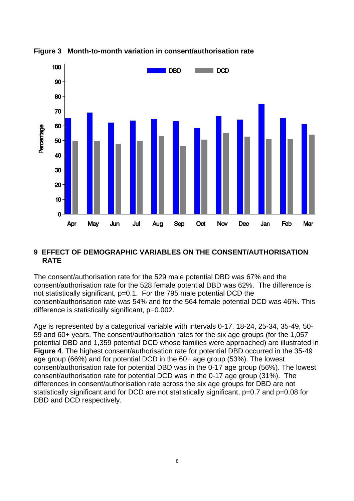

**Figure 3 Month-to-month variation in consent/authorisation rate** 

### **9 EFFECT OF DEMOGRAPHIC VARIABLES ON THE CONSENT/AUTHORISATION RATE**

The consent/authorisation rate for the 529 male potential DBD was 67% and the consent/authorisation rate for the 528 female potential DBD was 62%. The difference is not statistically significant, p=0.1. For the 795 male potential DCD the consent/authorisation rate was 54% and for the 564 female potential DCD was 46%. This difference is statistically significant, p=0.002.

Age is represented by a categorical variable with intervals 0-17, 18-24, 25-34, 35-49, 50- 59 and 60+ years. The consent/authorisation rates for the six age groups (for the 1,057 potential DBD and 1,359 potential DCD whose families were approached) are illustrated in **Figure 4**. The highest consent/authorisation rate for potential DBD occurred in the 35-49 age group (66%) and for potential DCD in the 60+ age group (53%). The lowest consent/authorisation rate for potential DBD was in the 0-17 age group (56%). The lowest consent/authorisation rate for potential DCD was in the 0-17 age group (31%). The differences in consent/authorisation rate across the six age groups for DBD are not statistically significant and for DCD are not statistically significant,  $p=0.7$  and  $p=0.08$  for DBD and DCD respectively.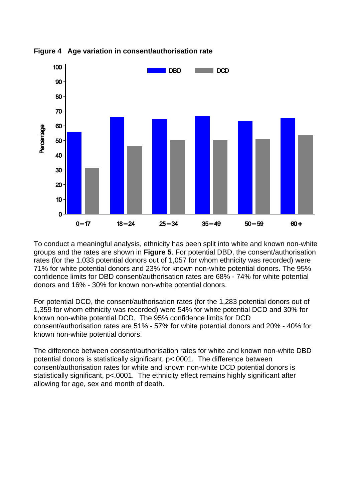

**Figure 4 Age variation in consent/authorisation rate** 

To conduct a meaningful analysis, ethnicity has been split into white and known non-white groups and the rates are shown in **Figure 5**. For potential DBD, the consent/authorisation rates (for the 1,033 potential donors out of 1,057 for whom ethnicity was recorded) were 71% for white potential donors and 23% for known non-white potential donors. The 95% confidence limits for DBD consent/authorisation rates are 68% - 74% for white potential donors and 16% - 30% for known non-white potential donors.

For potential DCD, the consent/authorisation rates (for the 1,283 potential donors out of 1,359 for whom ethnicity was recorded) were 54% for white potential DCD and 30% for known non-white potential DCD. The 95% confidence limits for DCD consent/authorisation rates are 51% - 57% for white potential donors and 20% - 40% for known non-white potential donors.

The difference between consent/authorisation rates for white and known non-white DBD potential donors is statistically significant, p<.0001. The difference between consent/authorisation rates for white and known non-white DCD potential donors is statistically significant, p<,0001. The ethnicity effect remains highly significant after allowing for age, sex and month of death.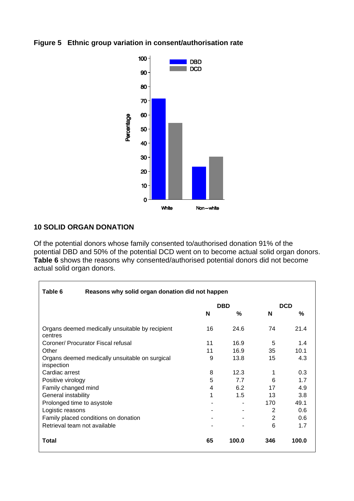#### **Figure 5 Ethnic group variation in consent/authorisation rate**



## **10 SOLID ORGAN DONATION**

**r** 

Of the potential donors whose family consented to/authorised donation 91% of the potential DBD and 50% of the potential DCD went on to become actual solid organ donors. **Table 6** shows the reasons why consented/authorised potential donors did not become actual solid organ donors.

| Table 6<br>Reasons why solid organ donation did not happen   |            |       |            |       |
|--------------------------------------------------------------|------------|-------|------------|-------|
|                                                              | <b>DBD</b> |       | <b>DCD</b> |       |
|                                                              | N          | %     | N          | %     |
| Organs deemed medically unsuitable by recipient<br>centres   | 16         | 24.6  | 74         | 21.4  |
| Coroner/ Procurator Fiscal refusal                           | 11         | 16.9  | 5          | 1.4   |
| Other                                                        | 11         | 16.9  | 35         | 10.1  |
| Organs deemed medically unsuitable on surgical<br>inspection | 9          | 13.8  | 15         | 4.3   |
| Cardiac arrest                                               | 8          | 12.3  | 1          | 0.3   |
| Positive virology                                            | 5          | 7.7   | 6          | 1.7   |
| Family changed mind                                          | 4          | 6.2   | 17         | 4.9   |
| General instability                                          | 1          | 1.5   | 13         | 3.8   |
| Prolonged time to asystole                                   |            |       | 170        | 49.1  |
| Logistic reasons                                             |            | ۰.    | 2          | 0.6   |
| Family placed conditions on donation                         |            |       | 2          | 0.6   |
| Retrieval team not available                                 |            |       | 6          | 1.7   |
| Total                                                        | 65         | 100.0 | 346        | 100.0 |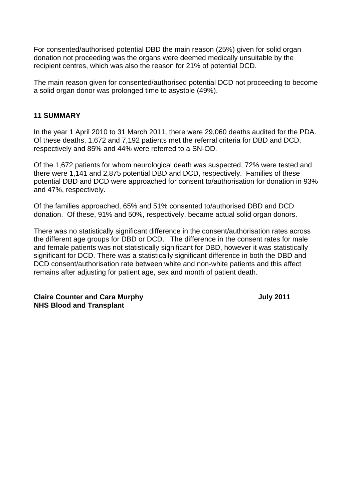For consented/authorised potential DBD the main reason (25%) given for solid organ donation not proceeding was the organs were deemed medically unsuitable by the recipient centres, which was also the reason for 21% of potential DCD.

The main reason given for consented/authorised potential DCD not proceeding to become a solid organ donor was prolonged time to asystole (49%).

#### **11 SUMMARY**

In the year 1 April 2010 to 31 March 2011, there were 29,060 deaths audited for the PDA. Of these deaths, 1,672 and 7,192 patients met the referral criteria for DBD and DCD, respectively and 85% and 44% were referred to a SN-OD.

Of the 1,672 patients for whom neurological death was suspected, 72% were tested and there were 1,141 and 2,875 potential DBD and DCD, respectively. Families of these potential DBD and DCD were approached for consent to/authorisation for donation in 93% and 47%, respectively.

Of the families approached, 65% and 51% consented to/authorised DBD and DCD donation. Of these, 91% and 50%, respectively, became actual solid organ donors.

There was no statistically significant difference in the consent/authorisation rates across the different age groups for DBD or DCD. The difference in the consent rates for male and female patients was not statistically significant for DBD, however it was statistically significant for DCD. There was a statistically significant difference in both the DBD and DCD consent/authorisation rate between white and non-white patients and this affect remains after adjusting for patient age, sex and month of patient death.

**Claire Counter and Cara Murphy July 2011 NHS Blood and Transplant**